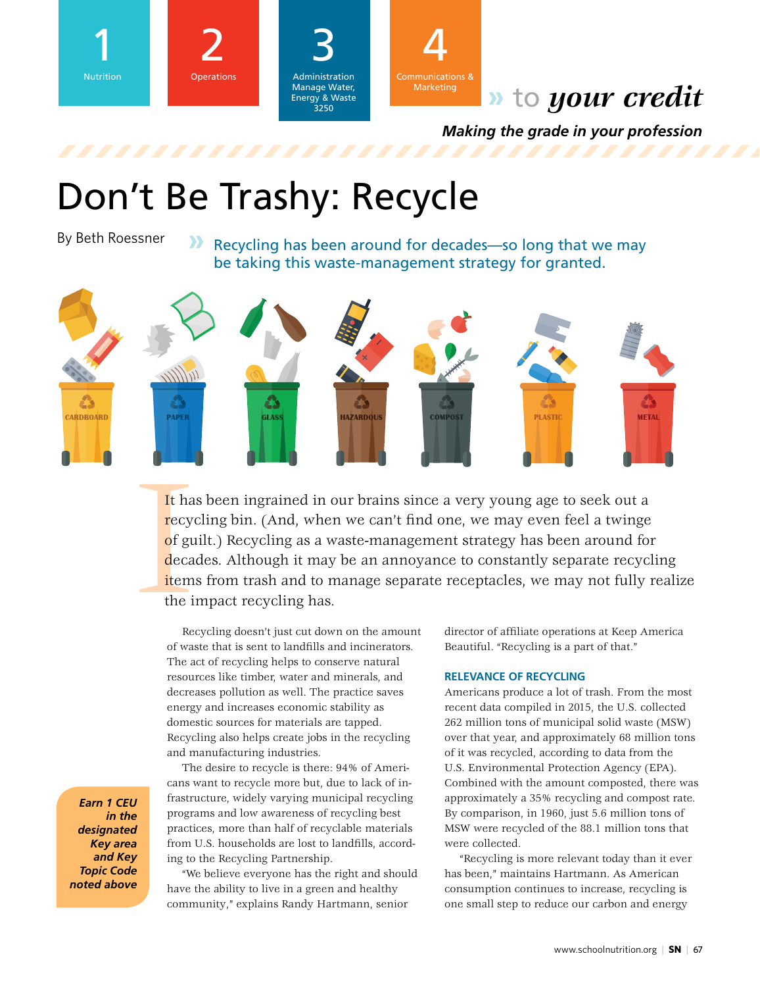



Administration Manage Water, 3 Energy & Waste 3250



# **»** to *your credit*

*Making the grade in your profession*

# Don't Be Trashy: Recycle

## By Beth Roessner

**»** Recycling has been around for decades—so long that we may be taking this waste-management strategy for granted.



It ha<br>recydered recepts<br>of guade recepts<br>the independent recepts of the integration of the integration of the integral recepts of the integral recepts of the integral recepts of the integral recepts of the integral recepts It has been ingrained in our brains since a very young age to seek out a recycling bin. (And, when we can't find one, we may even feel a twinge of guilt.) Recycling as a waste-management strategy has been around for decades. Although it may be an annoyance to constantly separate recycling items from trash and to manage separate receptacles, we may not fully realize the impact recycling has.

Recycling doesn't just cut down on the amount of waste that is sent to landfills and incinerators. The act of recycling helps to conserve natural resources like timber, water and minerals, and decreases pollution as well. The practice saves energy and increases economic stability as domestic sources for materials are tapped. Recycling also helps create jobs in the recycling and manufacturing industries.

The desire to recycle is there: 94% of Americans want to recycle more but, due to lack of infrastructure, widely varying municipal recycling programs and low awareness of recycling best practices, more than half of recyclable materials from U.S. households are lost to landfills, according to the Recycling Partnership.

"We believe everyone has the right and should have the ability to live in a green and healthy community," explains Randy Hartmann, senior

director of affiliate operations at Keep America Beautiful. "Recycling is a part of that."

#### **RELEVANCE OF RECYCLING**

Americans produce a lot of trash. From the most recent data compiled in 2015, the U.S. collected 262 million tons of municipal solid waste (MSW) over that year, and approximately 68 million tons of it was recycled, according to data from the U.S. Environmental Protection Agency (EPA). Combined with the amount composted, there was approximately a 35% recycling and compost rate. By comparison, in 1960, just 5.6 million tons of MSW were recycled of the 88.1 million tons that were collected.

"Recycling is more relevant today than it ever has been," maintains Hartmann. As American consumption continues to increase, recycling is one small step to reduce our carbon and energy

*Earn 1 CEU in the designated Key area and Key Topic Code noted above*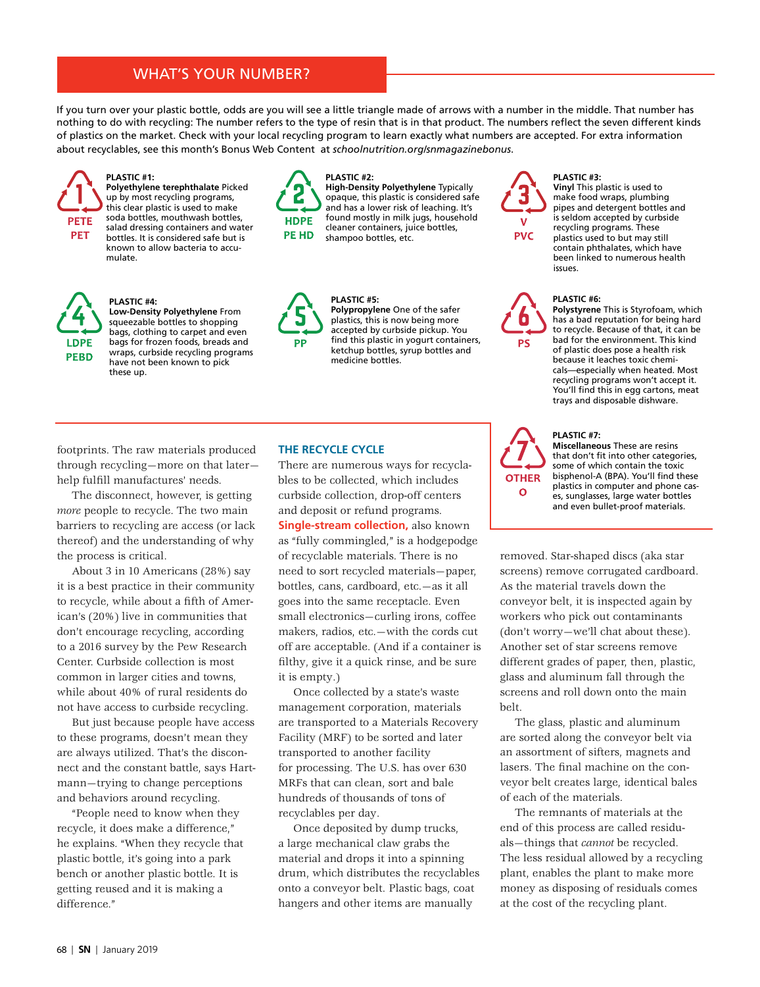### WHAT'S YOUR NUMBER?

If you turn over your plastic bottle, odds are you will see a little triangle made of arrows with a number in the middle. That number has nothing to do with recycling: The number refers to the type of resin that is in that product. The numbers reflect the seven different kinds of plastics on the market. Check with your local recycling program to learn exactly what numbers are accepted. For extra information about recyclables, see this month's Bonus Web Content at *schoolnutrition.org/snmagazinebonus*.



**LDPE** 

**PEBD** 

**PLASTIC #1: Polyethylene terephthalate** Picked up by most recycling programs, this clear plastic is used to make soda bottles, mouthwash bottles, salad dressing containers and water bottles. It is considered safe but is known to allow bacteria to accumulate.

**Low-Density Polyethylene** From squeezable bottles to shopping bags, clothing to carpet and even bags for frozen foods, breads and wraps, curbside recycling programs have not been known to pick



**PP** 

**PLASTIC #2: High-Density Polyethylene** Typically opaque, this plastic is considered safe and has a lower risk of leaching. It's found mostly in milk jugs, household cleaner containers, juice bottles, shampoo bottles, etc.

**Polypropylene** One of the safer plastics, this is now being more accepted by curbside pickup. You find this plastic in yogurt containers, ketchup bottles, syrup bottles and



PS

**PLASTIC #3: Vinyl** This plastic is used to make food wraps, plumbing pipes and detergent bottles and is seldom accepted by curbside recycling programs. These plastics used to but may still contain phthalates, which have been linked to numerous health issues.

#### **PLASTIC #6:**

**Polystyrene** This is Styrofoam, which has a bad reputation for being hard to recycle. Because of that, it can be bad for the environment. This kind of plastic does pose a health risk because it leaches toxic chemicals—especially when heated. Most recycling programs won't accept it. You'll find this in egg cartons, meat trays and disposable dishware.

footprints. The raw materials produced through recycling—more on that later help fulfill manufactures' needs.

**PLASTIC #4:**

these up.

The disconnect, however, is getting *more* people to recycle. The two main barriers to recycling are access (or lack thereof) and the understanding of why the process is critical.

About 3 in 10 Americans (28%) say it is a best practice in their community to recycle, while about a fifth of American's (20%) live in communities that don't encourage recycling, according to a 2016 survey by the Pew Research Center. Curbside collection is most common in larger cities and towns, while about 40% of rural residents do not have access to curbside recycling.

But just because people have access to these programs, doesn't mean they are always utilized. That's the disconnect and the constant battle, says Hartmann—trying to change perceptions and behaviors around recycling.

"People need to know when they recycle, it does make a difference," he explains. "When they recycle that plastic bottle, it's going into a park bench or another plastic bottle. It is getting reused and it is making a difference."

#### **THE RECYCLE CYCLE**

**PLASTIC #5:** 

medicine bottles.

There are numerous ways for recyclables to be collected, which includes curbside collection, drop-off centers and deposit or refund programs. **Single-stream collection, also known** as "fully commingled," is a hodgepodge of recyclable materials. There is no need to sort recycled materials—paper, bottles, cans, cardboard, etc.—as it all goes into the same receptacle. Even small electronics—curling irons, coffee makers, radios, etc.—with the cords cut off are acceptable. (And if a container is filthy, give it a quick rinse, and be sure it is empty.)

Once collected by a state's waste management corporation, materials are transported to a Materials Recovery Facility (MRF) to be sorted and later transported to another facility for processing. The U.S. has over 630 MRFs that can clean, sort and bale hundreds of thousands of tons of recyclables per day.

Once deposited by dump trucks, a large mechanical claw grabs the material and drops it into a spinning drum, which distributes the recyclables onto a conveyor belt. Plastic bags, coat hangers and other items are manually



#### **PLASTIC #7:**

**Miscellaneous** These are resins that don't fit into other categories, some of which contain the toxic bisphenol-A (BPA). You'll find these plastics in computer and phone cases, sunglasses, large water bottles and even bullet-proof materials.

removed. Star-shaped discs (aka star screens) remove corrugated cardboard. As the material travels down the conveyor belt, it is inspected again by workers who pick out contaminants (don't worry—we'll chat about these). Another set of star screens remove different grades of paper, then, plastic, glass and aluminum fall through the screens and roll down onto the main belt.

The glass, plastic and aluminum are sorted along the conveyor belt via an assortment of sifters, magnets and lasers. The final machine on the conveyor belt creates large, identical bales of each of the materials.

The remnants of materials at the end of this process are called residuals—things that *cannot* be recycled. The less residual allowed by a recycling plant, enables the plant to make more money as disposing of residuals comes at the cost of the recycling plant.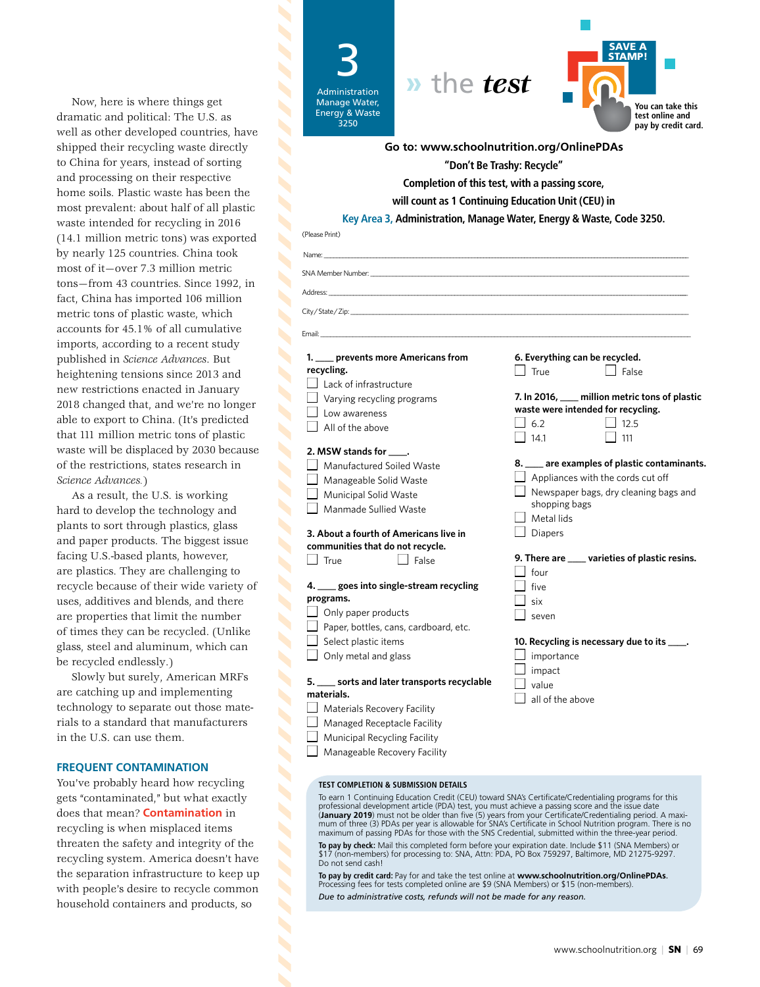Now, here is where things get dramatic and political: The U.S. as well as other developed countries, have shipped their recycling waste directly to China for years, instead of sorting and processing on their respective home soils. Plastic waste has been the most prevalent: about half of all plastic waste intended for recycling in 2016 (14.1 million metric tons) was exported by nearly 125 countries. China took most of it—over 7.3 million metric tons—from 43 countries. Since 1992, in fact, China has imported 106 million metric tons of plastic waste, which accounts for 45.1% of all cumulative imports, according to a recent study published in *Science Advances*. But heightening tensions since 2013 and new restrictions enacted in January 2018 changed that, and we're no longer able to export to China. (It's predicted that 111 million metric tons of plastic waste will be displaced by 2030 because of the restrictions, states research in *Science Advances.*)

As a result, the U.S. is working hard to develop the technology and plants to sort through plastics, glass and paper products. The biggest issue facing U.S.-based plants, however, are plastics. They are challenging to recycle because of their wide variety of uses, additives and blends, and there are properties that limit the number of times they can be recycled. (Unlike glass, steel and aluminum, which can be recycled endlessly.)

Slowly but surely, American MRFs are catching up and implementing technology to separate out those materials to a standard that manufacturers in the U.S. can use them.

#### **FREQUENT CONTAMINATION**

You've probably heard how recycling gets "contaminated," but what exactly does that mean? **Contamination** in recycling is when misplaced items threaten the safety and integrity of the recycling system. America doesn't have the separation infrastructure to keep up with people's desire to recycle common household containers and products, so

3 Administration Manage Water, Energy & Waste 3250





Name: \_\_\_\_\_\_\_\_\_\_\_\_\_\_\_\_\_\_\_\_\_\_\_\_\_\_\_\_\_\_\_\_\_\_\_\_\_\_\_\_\_\_\_\_\_\_\_\_\_\_\_\_\_\_\_\_\_\_\_\_\_\_\_\_\_\_\_\_\_\_\_\_\_\_\_\_\_\_\_\_\_\_\_\_\_\_\_\_\_\_\_\_\_\_\_\_\_\_\_\_\_\_\_\_\_\_\_\_\_\_\_\_\_\_\_\_\_\_\_\_\_\_\_ SNA Member Number: \_\_\_\_\_\_\_\_\_\_\_\_\_\_\_\_\_\_\_\_\_\_\_\_\_\_\_\_\_\_\_\_\_\_\_\_\_\_\_\_\_\_\_\_\_\_\_\_\_\_\_\_\_\_\_\_\_\_\_\_\_\_\_\_\_\_\_\_\_\_\_\_\_\_\_\_\_\_\_\_\_\_\_\_\_\_\_\_\_\_\_\_\_\_\_\_\_\_\_ **"Don't Be Trashy: Recycle" Completion of this test, with a passing score, will count as 1 Continuing Education Unit (CEU) in Key Area 3, Administration, Manage Water, Energy & Waste, Code 3250. Go to: www.schoolnutrition.org/OnlinePDAs**

Address: \_\_\_\_\_\_\_\_\_\_\_\_\_\_\_\_\_\_\_\_\_\_\_\_\_\_\_\_\_\_\_\_\_\_\_\_\_\_\_\_\_\_\_\_\_\_\_\_\_\_\_\_\_\_\_\_\_\_\_\_\_\_\_\_\_\_\_\_\_\_\_\_\_\_\_\_\_\_\_\_\_\_\_\_\_\_\_\_\_\_\_\_\_\_\_\_\_\_\_\_\_\_\_\_\_\_\_\_\_\_\_\_\_\_\_\_\_\_\_

Email: \_\_\_\_\_\_\_\_\_\_\_\_\_\_\_\_\_\_\_\_\_\_\_\_\_\_\_\_\_\_\_\_\_\_\_\_\_\_\_\_\_\_\_\_\_\_\_\_\_\_\_\_\_\_\_\_\_\_\_\_\_\_\_\_\_\_\_\_\_\_\_\_\_\_\_\_\_\_\_\_\_\_\_\_\_\_\_\_\_\_\_\_\_\_\_\_\_\_\_\_\_\_\_\_\_\_\_\_\_\_\_\_\_\_\_

City / State / Zip:

(Please Print)

 $\overline{\phantom{a}}$ 

Ń

 $\overline{\phantom{a}}$ 

 $\blacktriangle$ 

 $\blacktriangleleft$ 

Ń

Ń Ń Ń

S

 $\blacktriangle$ 

#### **1. \_\_\_\_ prevents more Americans from recycling.**

 $\Box$  Lack of infrastructure  $\Box$  Varying recycling programs

- $\Box$  Low awareness
- $\vert \ \vert$  All of the above

#### **2. MSW stands for \_\_\_\_.**

 $\Box$  Manufactured Soiled Waste Manageable Solid Waste

- **Municipal Solid Waste**
- $\Box$  Manmade Sullied Waste

#### **3. About a fourth of Americans live in communities that do not recycle.** n True **n** False

#### **4. \_\_\_\_ goes into single-stream recycling programs.**

- Only paper products
- Paper, bottles, cans, cardboard, etc.
- Select plastic items
- $\Box$  Only metal and glass

#### **5. \_\_\_\_ sorts and later transports recyclable materials.**

- $\Box$  Materials Recovery Facility
- $\Box$  Managed Receptacle Facility
	- Municipal Recycling Facility

 $\Box$  Manageable Recovery Facility

#### **TEST COMPLETION & SUBMISSION DETAILS**

To earn 1 Continuing Education Credit (CEU) toward SNA's Certificate/Credentialing programs for this<br>professional development article (PDA) test, you must achieve a passing score and the issue date<br>(**January 2019**) must no mum of three (3) PDAs per year is allowable for SNA's Certificate in School Nutrition program. There is no maximum of passing PDAs for those with the SNS Credential, submitted within the three-year period.

**To pay by check:** Mail this completed form before your expiration date. Include \$11 (SNA Members) or \$17 (non-members) for processing to: SNA, Attn: PDA, PO Box 759297, Baltimore, MD 21275-9297. Do not send cash!

**To pay by credit card:** Pay for and take the test online at **www.schoolnutrition.org/OnlinePDAs**. Processing fees for tests completed online are \$9 (SNA Members) or \$15 (non-members). *Due to administrative costs, refunds will not be made for any reason.*

- shopping bags  $\Box$  Metal lids Diapers **9. There are \_\_\_\_ varieties of plastic resins.**
- $\Box$  four  $\Box$  five  $\overline{\phantom{a}}$  six
- $\exists$  seven

| 10. Recycling is necessary due to its _____. |                   |
|----------------------------------------------|-------------------|
|                                              | $\Box$ importance |
|                                              | $\Box$ impact     |

**6. Everything can be recycled.**   $\Box$  True  $\Box$  False

**waste were intended for recycling.**  $\Box$  6.2  $\Box$  12.5  $\Box$  14.1  $\Box$  111

**7. In 2016, \_\_\_\_ million metric tons of plastic** 

**8. \_\_\_\_ are examples of plastic contaminants.**  $\Box$  Appliances with the cords cut off  $\Box$  Newspaper bags, dry cleaning bags and

- impact value
- $\Box$  all of the above